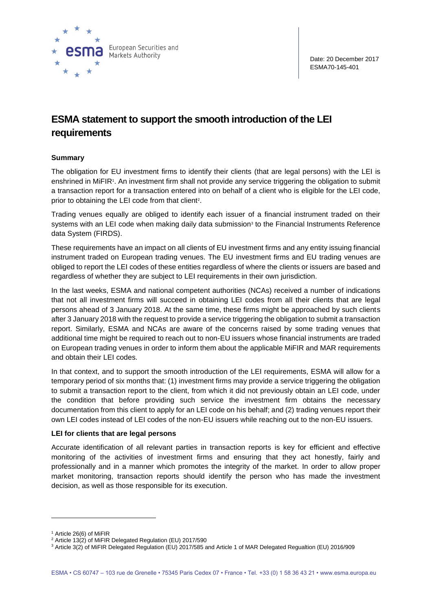

## **ESMA statement to support the smooth introduction of the LEI requirements**

## **Summary**

The obligation for EU investment firms to identify their clients (that are legal persons) with the LEI is enshrined in MiFIR1. An investment firm shall not provide any service triggering the obligation to submit a transaction report for a transaction entered into on behalf of a client who is eligible for the LEI code, prior to obtaining the LEI code from that client<sup>2</sup>.

Trading venues equally are obliged to identify each issuer of a financial instrument traded on their systems with an LEI code when making daily data submission<sup>3</sup> to the Financial Instruments Reference data System (FIRDS).

These requirements have an impact on all clients of EU investment firms and any entity issuing financial instrument traded on European trading venues. The EU investment firms and EU trading venues are obliged to report the LEI codes of these entities regardless of where the clients or issuers are based and regardless of whether they are subject to LEI requirements in their own jurisdiction.

In the last weeks, ESMA and national competent authorities (NCAs) received a number of indications that not all investment firms will succeed in obtaining LEI codes from all their clients that are legal persons ahead of 3 January 2018. At the same time, these firms might be approached by such clients after 3 January 2018 with the request to provide a service triggering the obligation to submit a transaction report. Similarly, ESMA and NCAs are aware of the concerns raised by some trading venues that additional time might be required to reach out to non-EU issuers whose financial instruments are traded on European trading venues in order to inform them about the applicable MiFIR and MAR requirements and obtain their LEI codes.

In that context, and to support the smooth introduction of the LEI requirements, ESMA will allow for a temporary period of six months that: (1) investment firms may provide a service triggering the obligation to submit a transaction report to the client, from which it did not previously obtain an LEI code, under the condition that before providing such service the investment firm obtains the necessary documentation from this client to apply for an LEI code on his behalf; and (2) trading venues report their own LEI codes instead of LEI codes of the non-EU issuers while reaching out to the non-EU issuers.

## **LEI for clients that are legal persons**

Accurate identification of all relevant parties in transaction reports is key for efficient and effective monitoring of the activities of investment firms and ensuring that they act honestly, fairly and professionally and in a manner which promotes the integrity of the market. In order to allow proper market monitoring, transaction reports should identify the person who has made the investment decision, as well as those responsible for its execution.

1

<sup>1</sup> Article 26(6) of MiFIR

 $2$  Article 13(2) of MiFIR Delegated Regulation (EU) 2017/590

<sup>3</sup> Article 3(2) of MiFIR Delegated Regulation (EU) 2017/585 and Article 1 of MAR Delegated Regualtion (EU) 2016/909